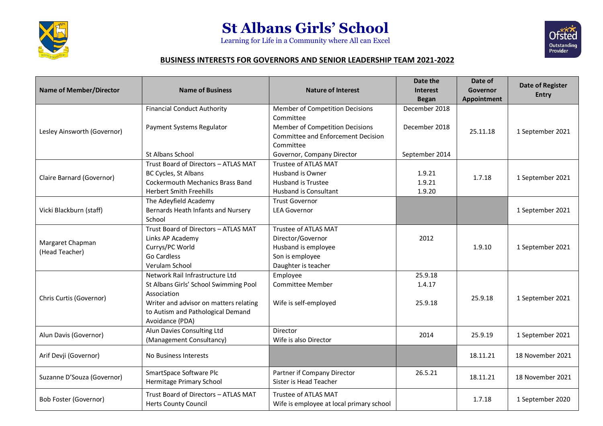

## **St Albans Girls' School**

Learning for Life in a Community where All can Excel



## **BUSINESS INTERESTS FOR GOVERNORS AND SENIOR LEADERSHIP TEAM 2021-2022**

| <b>Name of Member/Director</b> | <b>Name of Business</b>                 | <b>Nature of Interest</b>                 | Date the        | Date of            | <b>Date of Register</b><br><b>Entry</b> |
|--------------------------------|-----------------------------------------|-------------------------------------------|-----------------|--------------------|-----------------------------------------|
|                                |                                         |                                           | <b>Interest</b> | Governor           |                                         |
|                                |                                         |                                           | <b>Began</b>    | <b>Appointment</b> |                                         |
| Lesley Ainsworth (Governor)    | <b>Financial Conduct Authority</b>      | Member of Competition Decisions           | December 2018   |                    |                                         |
|                                |                                         | Committee                                 |                 |                    |                                         |
|                                | Payment Systems Regulator               | Member of Competition Decisions           | December 2018   | 25.11.18           | 1 September 2021                        |
|                                |                                         | <b>Committee and Enforcement Decision</b> |                 |                    |                                         |
|                                |                                         | Committee                                 |                 |                    |                                         |
|                                | St Albans School                        | Governor, Company Director                | September 2014  |                    |                                         |
|                                | Trust Board of Directors - ATLAS MAT    | Trustee of ATLAS MAT                      |                 | 1.7.18             | 1 September 2021                        |
| Claire Barnard (Governor)      | BC Cycles, St Albans                    | Husband is Owner                          | 1.9.21          |                    |                                         |
|                                | <b>Cockermouth Mechanics Brass Band</b> | <b>Husband is Trustee</b>                 | 1.9.21          |                    |                                         |
|                                | <b>Herbert Smith Freehills</b>          | <b>Husband is Consultant</b>              | 1.9.20          |                    |                                         |
| Vicki Blackburn (staff)        | The Adeyfield Academy                   | <b>Trust Governor</b>                     |                 |                    |                                         |
|                                | Bernards Heath Infants and Nursery      | <b>LEA Governor</b>                       |                 |                    | 1 September 2021                        |
|                                | School                                  |                                           |                 |                    |                                         |
|                                | Trust Board of Directors - ATLAS MAT    | Trustee of ATLAS MAT                      |                 | 1.9.10             | 1 September 2021                        |
| Margaret Chapman               | Links AP Academy                        | Director/Governor                         | 2012            |                    |                                         |
| (Head Teacher)                 | Currys/PC World                         | Husband is employee                       |                 |                    |                                         |
|                                | <b>Go Cardless</b>                      | Son is employee                           |                 |                    |                                         |
|                                | Verulam School                          | Daughter is teacher                       |                 |                    |                                         |
| Chris Curtis (Governor)        | Network Rail Infrastructure Ltd         | Employee                                  | 25.9.18         | 25.9.18            | 1 September 2021                        |
|                                | St Albans Girls' School Swimming Pool   | <b>Committee Member</b>                   | 1.4.17          |                    |                                         |
|                                | Association                             |                                           |                 |                    |                                         |
|                                | Writer and advisor on matters relating  | Wife is self-employed                     | 25.9.18         |                    |                                         |
|                                | to Autism and Pathological Demand       |                                           |                 |                    |                                         |
|                                | Avoidance (PDA)                         |                                           |                 |                    |                                         |
| Alun Davis (Governor)          | Alun Davies Consulting Ltd              | Director                                  | 2014            | 25.9.19            | 1 September 2021                        |
|                                | (Management Consultancy)                | Wife is also Director                     |                 |                    |                                         |
| Arif Devji (Governor)          |                                         |                                           |                 | 18.11.21           | 18 November 2021                        |
|                                | No Business Interests                   |                                           |                 |                    |                                         |
| Suzanne D'Souza (Governor)     | SmartSpace Software Plc                 | Partner if Company Director               | 26.5.21         | 18.11.21           | 18 November 2021                        |
|                                | Hermitage Primary School                | Sister is Head Teacher                    |                 |                    |                                         |
| <b>Bob Foster (Governor)</b>   | Trust Board of Directors - ATLAS MAT    | Trustee of ATLAS MAT                      |                 | 1.7.18             |                                         |
|                                | <b>Herts County Council</b>             | Wife is employee at local primary school  |                 |                    | 1 September 2020                        |